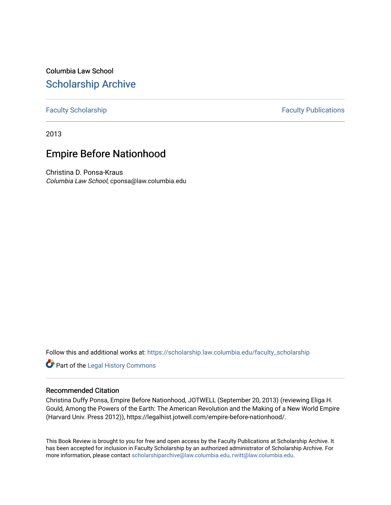Columbia Law School [Scholarship Archive](https://scholarship.law.columbia.edu/) 

[Faculty Scholarship](https://scholarship.law.columbia.edu/faculty_scholarship) **Faculty Scholarship Faculty Publications** 

2013

## Empire Before Nationhood

Christina D. Ponsa-Kraus Columbia Law School, cponsa@law.columbia.edu

Follow this and additional works at: [https://scholarship.law.columbia.edu/faculty\\_scholarship](https://scholarship.law.columbia.edu/faculty_scholarship?utm_source=scholarship.law.columbia.edu%2Ffaculty_scholarship%2F3262&utm_medium=PDF&utm_campaign=PDFCoverPages)

**Part of the [Legal History Commons](http://network.bepress.com/hgg/discipline/904?utm_source=scholarship.law.columbia.edu%2Ffaculty_scholarship%2F3262&utm_medium=PDF&utm_campaign=PDFCoverPages)** 

## Recommended Citation

Christina Duffy Ponsa, Empire Before Nationhood, JOTWELL (September 20, 2013) (reviewing Eliga H. Gould, Among the Powers of the Earth: The American Revolution and the Making of a New World Empire (Harvard Univ. Press 2012)), https://legalhist.jotwell.com/empire-before-nationhood/.

This Book Review is brought to you for free and open access by the Faculty Publications at Scholarship Archive. It has been accepted for inclusion in Faculty Scholarship by an authorized administrator of Scholarship Archive. For more information, please contact [scholarshiparchive@law.columbia.edu, rwitt@law.columbia.edu](mailto:scholarshiparchive@law.columbia.edu,%20rwitt@law.columbia.edu).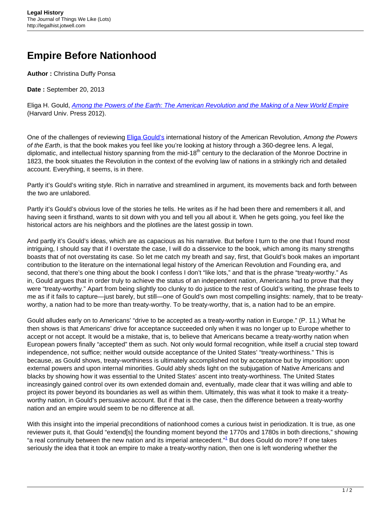## **Empire Before Nationhood**

**Author :** Christina Duffy Ponsa

**Date :** September 20, 2013

Eliga H. Gould, [Among the Powers of the Earth: The American Revolution and the Making of a New World Empire](http://www.hup.harvard.edu/catalog.php?isbn=9780674046085&content=bios) (Harvard Univ. Press 2012).

One of the challenges of reviewing **Eliga Gould's** international history of the American Revolution, Among the Powers of the Earth, is that the book makes you feel like you're looking at history through a 360-degree lens. A legal, diplomatic, and intellectual history spanning from the mid-18<sup>th</sup> century to the declaration of the Monroe Doctrine in 1823, the book situates the Revolution in the context of the evolving law of nations in a strikingly rich and detailed account. Everything, it seems, is in there.

Partly it's Gould's writing style. Rich in narrative and streamlined in argument, its movements back and forth between the two are unlabored.

Partly it's Gould's obvious love of the stories he tells. He writes as if he had been there and remembers it all, and having seen it firsthand, wants to sit down with you and tell you all about it. When he gets going, you feel like the historical actors are his neighbors and the plotlines are the latest gossip in town.

And partly it's Gould's ideas, which are as capacious as his narrative. But before I turn to the one that I found most intriguing, I should say that if I overstate the case, I will do a disservice to the book, which among its many strengths boasts that of not overstating its case. So let me catch my breath and say, first, that Gould's book makes an important contribution to the literature on the international legal history of the American Revolution and Founding era, and second, that there's one thing about the book I confess I don't "like lots," and that is the phrase "treaty-worthy." As in, Gould argues that in order truly to achieve the status of an independent nation, Americans had to prove that they were "treaty-worthy." Apart from being slightly too clunky to do justice to the rest of Gould's writing, the phrase feels to me as if it fails to capture—just barely, but still—one of Gould's own most compelling insights: namely, that to be treatyworthy, a nation had to be more than treaty-worthy. To be treaty-worthy, that is, a nation had to be an empire.

Gould alludes early on to Americans' "drive to be accepted as a treaty-worthy nation in Europe." (P. 11.) What he then shows is that Americans' drive for acceptance succeeded only when it was no longer up to Europe whether to accept or not accept. It would be a mistake, that is, to believe that Americans became a treaty-worthy nation when European powers finally "accepted" them as such. Not only would formal recognition, while itself a crucial step toward independence, not suffice; neither would outside acceptance of the United States' "treaty-worthiness." This is because, as Gould shows, treaty-worthiness is ultimately accomplished not by acceptance but by imposition: upon external powers and upon internal minorities. Gould ably sheds light on the subjugation of Native Americans and blacks by showing how it was essential to the United States' ascent into treaty-worthiness. The United States increasingly gained control over its own extended domain and, eventually, made clear that it was willing and able to project its power beyond its boundaries as well as within them. Ultimately, this was what it took to make it a treatyworthy nation, in Gould's persuasive account. But if that is the case, then the difference between a treaty-worthy nation and an empire would seem to be no difference at all.

With this insight into the imperial preconditions of nationhood comes a curious twist in periodization. It is true, as one reviewer puts it, that Gould "extend[s] the founding moment beyond the 1770s and 1780s in both directions," showing "a real continuity between the new nation and its imperial antecedent."<sup>1</sup> But does Gould do more? If one takes seriously the idea that it took an empire to make a treaty-worthy nation, then one is left wondering whether the